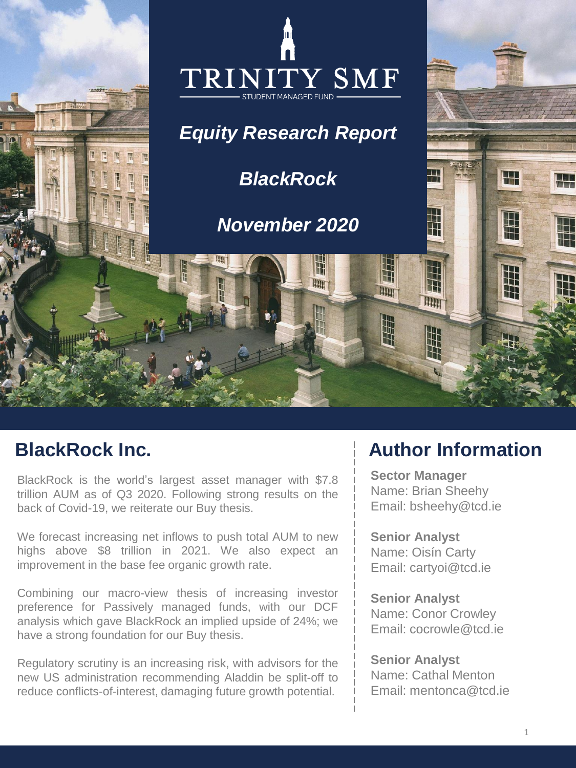

BlackRock is the world's largest asset manager with \$7.8 trillion AUM as of Q3 2020. Following strong results on the back of Covid-19, we reiterate our Buy thesis.

We forecast increasing net inflows to push total AUM to new highs above \$8 trillion in 2021. We also expect an improvement in the base fee organic growth rate.

Combining our macro-view thesis of increasing investor preference for Passively managed funds, with our DCF analysis which gave BlackRock an implied upside of 24%; we have a strong foundation for our Buy thesis.

Regulatory scrutiny is an increasing risk, with advisors for the new US administration recommending Aladdin be split-off to reduce conflicts-of-interest, damaging future growth potential.

# **BlackRock Inc. Author Information**

**Sector Manager** Name: Brian Sheehy Email: bsheehy@tcd.ie

**Senior Analyst** Name: Oisín Carty Email: cartyoi@tcd.ie

**Senior Analyst** Name: Conor Crowley Email: cocrowle@tcd.ie

**Senior Analyst** Name: Cathal Menton Email: mentonca@tcd.ie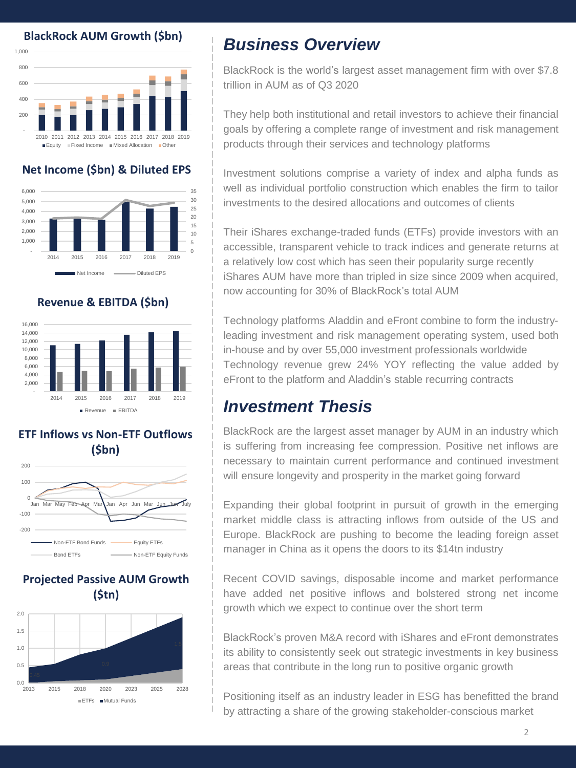#### **BlackRock AUM Growth (\$bn)**



#### **Net Income (\$bn) & Diluted EPS**



#### **Revenue & EBITDA (\$bn)**



## **ETF Inflows vs Non-ETF Outflows (\$bn)**



### **Projected Passive AUM Growth (\$tn)**



## *Business Overview*

BlackRock is the world's largest asset management firm with over \$7.8 trillion in AUM as of Q3 2020

They help both institutional and retail investors to achieve their financial goals by offering a complete range of investment and risk management products through their services and technology platforms

Investment solutions comprise a variety of index and alpha funds as well as individual portfolio construction which enables the firm to tailor investments to the desired allocations and outcomes of clients

Their iShares exchange-traded funds (ETFs) provide investors with an accessible, transparent vehicle to track indices and generate returns at a relatively low cost which has seen their popularity surge recently iShares AUM have more than tripled in size since 2009 when acquired, now accounting for 30% of BlackRock's total AUM

Technology platforms Aladdin and eFront combine to form the industryleading investment and risk management operating system, used both in-house and by over 55,000 investment professionals worldwide Technology revenue grew 24% YOY reflecting the value added by eFront to the platform and Aladdin's stable recurring contracts

## *Investment Thesis*

BlackRock are the largest asset manager by AUM in an industry which is suffering from increasing fee compression. Positive net inflows are necessary to maintain current performance and continued investment will ensure longevity and prosperity in the market going forward

Expanding their global footprint in pursuit of growth in the emerging market middle class is attracting inflows from outside of the US and Europe. BlackRock are pushing to become the leading foreign asset manager in China as it opens the doors to its \$14tn industry

Recent COVID savings, disposable income and market performance have added net positive inflows and bolstered strong net income growth which we expect to continue over the short term

BlackRock's proven M&A record with iShares and eFront demonstrates its ability to consistently seek out strategic investments in key business areas that contribute in the long run to positive organic growth

Positioning itself as an industry leader in ESG has benefitted the brand by attracting a share of the growing stakeholder-conscious market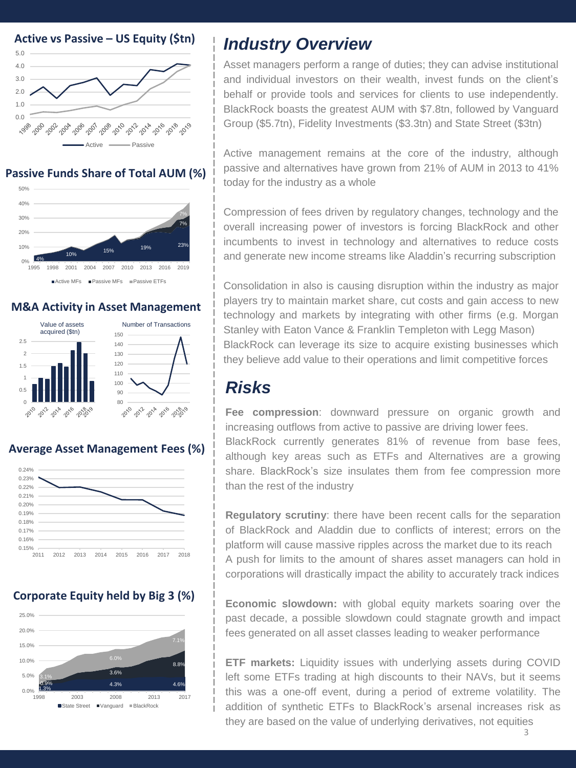

### **Passive Funds Share of Total AUM (%)**



### **M&A Activity in Asset Management**



## **Average Asset Management Fees (%)**



## **Corporate Equity held by Big 3 (%)**



# *Industry Overview*

Asset managers perform a range of duties; they can advise institutional and individual investors on their wealth, invest funds on the client's behalf or provide tools and services for clients to use independently. BlackRock boasts the greatest AUM with \$7.8tn, followed by Vanguard Group (\$5.7tn), Fidelity Investments (\$3.3tn) and State Street (\$3tn)

Active management remains at the core of the industry, although passive and alternatives have grown from 21% of AUM in 2013 to 41% today for the industry as a whole

Compression of fees driven by regulatory changes, technology and the overall increasing power of investors is forcing BlackRock and other incumbents to invest in technology and alternatives to reduce costs and generate new income streams like Aladdin's recurring subscription

Consolidation in also is causing disruption within the industry as major players try to maintain market share, cut costs and gain access to new technology and markets by integrating with other firms (e.g. Morgan Stanley with Eaton Vance & Franklin Templeton with Legg Mason) BlackRock can leverage its size to acquire existing businesses which they believe add value to their operations and limit competitive forces

# *Risks*

**Fee compression**: downward pressure on organic growth and increasing outflows from active to passive are driving lower fees. BlackRock currently generates 81% of revenue from base fees, although key areas such as ETFs and Alternatives are a growing share. BlackRock's size insulates them from fee compression more than the rest of the industry

**Regulatory scrutiny**: there have been recent calls for the separation of BlackRock and Aladdin due to conflicts of interest; errors on the platform will cause massive ripples across the market due to its reach A push for limits to the amount of shares asset managers can hold in corporations will drastically impact the ability to accurately track indices

**Economic slowdown:** with global equity markets soaring over the past decade, a possible slowdown could stagnate growth and impact fees generated on all asset classes leading to weaker performance

**ETF markets:** Liquidity issues with underlying assets during COVID left some ETFs trading at high discounts to their NAVs, but it seems this was a one-off event, during a period of extreme volatility. The addition of synthetic ETFs to BlackRock's arsenal increases risk as they are based on the value of underlying derivatives, not equities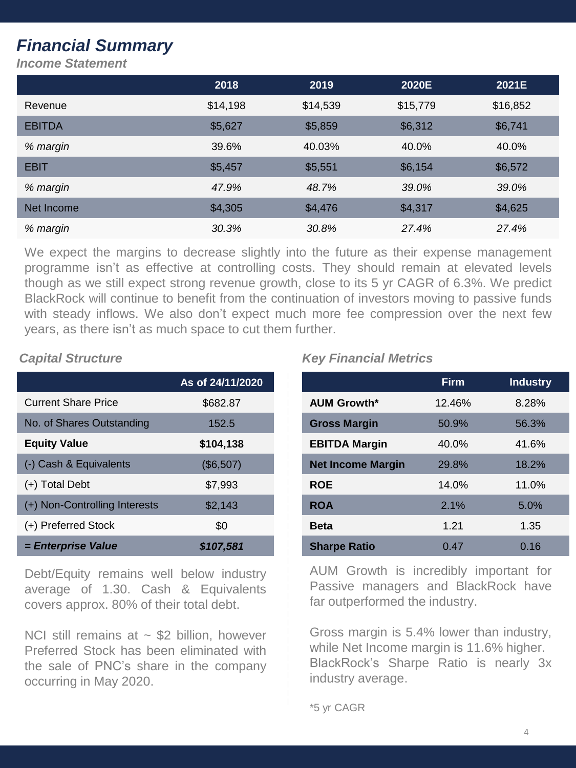# *Financial Summary*

*Income Statement*

|               | 2018     | 2019     | 2020E    | 2021E    |
|---------------|----------|----------|----------|----------|
| Revenue       | \$14,198 | \$14,539 | \$15,779 | \$16,852 |
| <b>EBITDA</b> | \$5,627  | \$5,859  | \$6,312  | \$6,741  |
| % margin      | 39.6%    | 40.03%   | 40.0%    | 40.0%    |
| <b>EBIT</b>   | \$5,457  | \$5,551  | \$6,154  | \$6,572  |
| % margin      | 47.9%    | 48.7%    | 39.0%    | 39.0%    |
| Net Income    | \$4,305  | \$4,476  | \$4,317  | \$4,625  |
| % margin      | 30.3%    | 30.8%    | 27.4%    | 27.4%    |

We expect the margins to decrease slightly into the future as their expense management programme isn't as effective at controlling costs. They should remain at elevated levels though as we still expect strong revenue growth, close to its 5 yr CAGR of 6.3%. We predict BlackRock will continue to benefit from the continuation of investors moving to passive funds with steady inflows. We also don't expect much more fee compression over the next few years, as there isn't as much space to cut them further.

|                               | As of 24/11/2020 |
|-------------------------------|------------------|
| <b>Current Share Price</b>    | \$682.87         |
| No. of Shares Outstanding     | 152.5            |
| <b>Equity Value</b>           | \$104,138        |
| (-) Cash & Equivalents        | (\$6,507)        |
| (+) Total Debt                | \$7,993          |
| (+) Non-Controlling Interests | \$2,143          |
| (+) Preferred Stock           | \$0              |
| = Enterprise Value            | \$107,581        |

Debt/Equity remains well below industry average of 1.30. Cash & Equivalents covers approx. 80% of their total debt.

NCI still remains at  $\sim$  \$2 billion, however Preferred Stock has been eliminated with the sale of PNC's share in the company occurring in May 2020.

## *Capital Structure Key Financial Metrics*

|                          | <b>Firm</b> | <b>Industry</b> |
|--------------------------|-------------|-----------------|
| <b>AUM Growth*</b>       | 12.46%      | 8.28%           |
| <b>Gross Margin</b>      | 50.9%       | 56.3%           |
| <b>EBITDA Margin</b>     | 40.0%       | 41.6%           |
| <b>Net Income Margin</b> | 29.8%       | 18.2%           |
| <b>ROE</b>               | 14.0%       | 11.0%           |
| <b>ROA</b>               | 2.1%        | 5.0%            |
| <b>Beta</b>              | 1.21        | 1.35            |
| <b>Sharpe Ratio</b>      | 0.47        | 0.16            |

AUM Growth is incredibly important for Passive managers and BlackRock have far outperformed the industry.

Gross margin is 5.4% lower than industry, while Net Income margin is 11.6% higher. BlackRock's Sharpe Ratio is nearly 3x industry average.